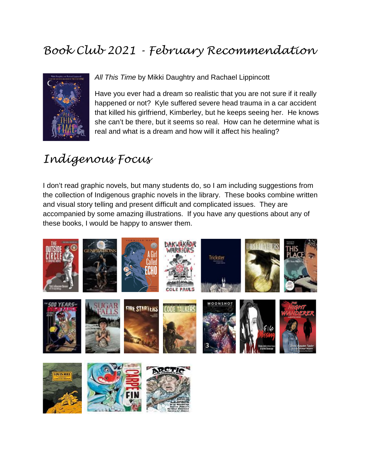## *Book Club 2021 - February Recommendation*



*All This Time* by Mikki Daughtry and Rachael Lippincott

Have you ever had a dream so realistic that you are not sure if it really happened or not? Kyle suffered severe head trauma in a car accident that killed his girlfriend, Kimberley, but he keeps seeing her. He knows she can't be there, but it seems so real. How can he determine what is real and what is a dream and how will it affect his healing?

## *Indigenous Focus*

I don't read graphic novels, but many students do, so I am including suggestions from the collection of Indigenous graphic novels in the library. These books combine written and visual story telling and present difficult and complicated issues. They are accompanied by some amazing illustrations. If you have any questions about any of these books, I would be happy to answer them.